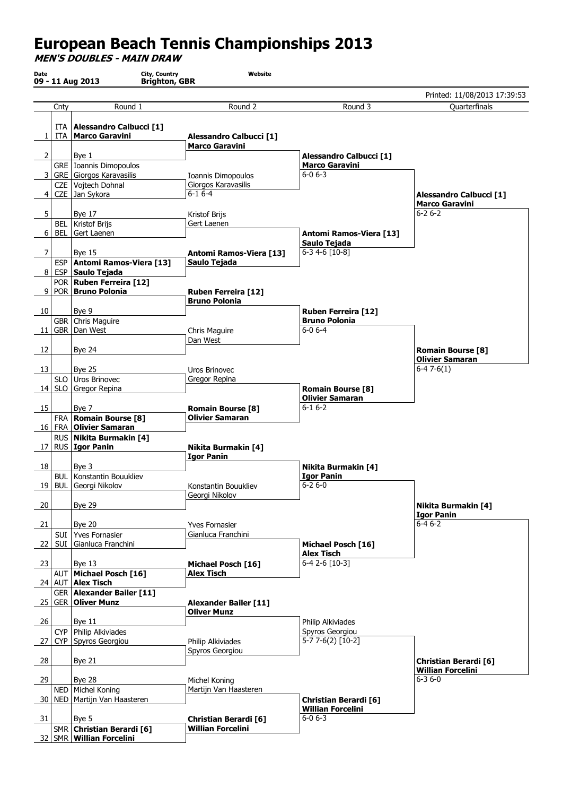## European Beach Tennis Championships 2013

MEN'S DOUBLES - MAIN DRAW

|           |      |                                                     |                                                          |                                                         | Printed: 11/08/2013 17:39:53                    |
|-----------|------|-----------------------------------------------------|----------------------------------------------------------|---------------------------------------------------------|-------------------------------------------------|
|           | Cnty | Round 1                                             | Round 2                                                  | Round 3                                                 | Quarterfinals                                   |
|           |      |                                                     |                                                          |                                                         |                                                 |
|           |      | ITA   Alessandro Calbucci [1]                       |                                                          |                                                         |                                                 |
| 1         |      | ITA   Marco Garavini                                | <b>Alessandro Calbucci [1]</b>                           |                                                         |                                                 |
|           |      |                                                     | <b>Marco Garavini</b>                                    |                                                         |                                                 |
| 2         |      | Bye 1                                               |                                                          | <b>Alessandro Calbucci [1]</b><br><b>Marco Garavini</b> |                                                 |
| 3         |      | GRE   Ioannis Dimopoulos<br>GRE Giorgos Karavasilis | Ioannis Dimopoulos                                       | $6 - 06 - 3$                                            |                                                 |
|           |      | CZE Vojtech Dohnal                                  | Giorgos Karavasilis                                      |                                                         |                                                 |
| 4         |      | CZE Jan Sykora                                      | $6 - 16 - 4$                                             |                                                         | <b>Alessandro Calbucci [1]</b>                  |
|           |      |                                                     |                                                          |                                                         | <b>Marco Garavini</b>                           |
| 5         |      | <b>Bye 17</b>                                       | Kristof Brijs                                            |                                                         | $6 - 26 - 2$                                    |
|           |      | BEL   Kristof Brijs                                 | Gert Laenen                                              |                                                         |                                                 |
| 6         |      | BEL Gert Laenen                                     |                                                          | Antomi Ramos-Viera [13]                                 |                                                 |
|           |      |                                                     |                                                          | Saulo Tejada                                            |                                                 |
| 7         |      | <b>Bye 15</b>                                       | <b>Antomi Ramos-Viera [13]</b>                           | $6-3$ 4-6 $[10-8]$                                      |                                                 |
|           |      | ESP   Antomi Ramos-Viera [13]                       | Saulo Tejada                                             |                                                         |                                                 |
| 81        |      | <b>ESP</b> Saulo Tejada                             |                                                          |                                                         |                                                 |
| 9         |      | POR   Ruben Ferreira [12]<br>POR Bruno Polonia      |                                                          |                                                         |                                                 |
|           |      |                                                     | <b>Ruben Ferreira [12]</b><br><b>Bruno Polonia</b>       |                                                         |                                                 |
| 10        |      | Bye 9                                               |                                                          | <b>Ruben Ferreira [12]</b>                              |                                                 |
|           |      | GBR   Chris Maguire                                 |                                                          | <b>Bruno Polonia</b>                                    |                                                 |
| 11        |      | GBR   Dan West                                      | Chris Maguire                                            | $6 - 06 - 4$                                            |                                                 |
|           |      |                                                     | Dan West                                                 |                                                         |                                                 |
| 12        |      | <b>Bye 24</b>                                       |                                                          |                                                         | <b>Romain Bourse [8]</b>                        |
|           |      |                                                     |                                                          |                                                         | <b>Olivier Samaran</b>                          |
| 13        |      | <b>Bye 25</b>                                       | Uros Brinovec                                            |                                                         | $6-47-6(1)$                                     |
|           |      | SLO   Uros Brinovec                                 | Gregor Repina                                            |                                                         |                                                 |
|           |      | 14 SLO Gregor Repina                                |                                                          | <b>Romain Bourse [8]</b>                                |                                                 |
|           |      |                                                     |                                                          | <b>Olivier Samaran</b><br>$6 - 16 - 2$                  |                                                 |
| 15        |      | Bye 7<br>FRA   Romain Bourse [8]                    | <b>Romain Bourse [8]</b><br><b>Olivier Samaran</b>       |                                                         |                                                 |
| 16        |      | FRA   Olivier Samaran                               |                                                          |                                                         |                                                 |
|           |      | RUS Nikita Burmakin [4]                             |                                                          |                                                         |                                                 |
| 17 I      |      | RUS   Igor Panin                                    | Nikita Burmakin [4]                                      |                                                         |                                                 |
|           |      |                                                     | <b>Igor Panin</b>                                        |                                                         |                                                 |
| 18        |      | Bye 3                                               |                                                          | Nikita Burmakin [4]                                     |                                                 |
|           |      | <b>BUL</b>   Konstantin Bouukliev                   |                                                          | <b>Igor Panin</b>                                       |                                                 |
|           |      | 19 BUL Georgi Nikolov                               | Konstantin Bouukliev                                     | $6 - 26 - 0$                                            |                                                 |
| 20        |      | <b>Bye 29</b>                                       | Georgi Nikolov                                           |                                                         |                                                 |
|           |      |                                                     |                                                          |                                                         | <b>Nikita Burmakin [4]</b><br><b>Igor Panin</b> |
| 21        |      | <b>Bye 20</b>                                       | <b>Yves Fornasier</b>                                    |                                                         | $6 - 46 - 2$                                    |
|           |      | SUI Yves Fornasier                                  | Gianluca Franchini                                       |                                                         |                                                 |
| 22        |      | SUI Gianluca Franchini                              |                                                          | Michael Posch [16]                                      |                                                 |
|           |      |                                                     |                                                          | <b>Alex Tisch</b>                                       |                                                 |
| 23        |      | Bye $13$                                            | Michael Posch [16]                                       | $6-42-6$ [10-3]                                         |                                                 |
|           |      | AUT   Michael Posch [16]                            | <b>Alex Tisch</b>                                        |                                                         |                                                 |
|           |      | 24 AUT <b>Alex Tisch</b>                            |                                                          |                                                         |                                                 |
| <b>25</b> |      | GER   Alexander Bailer [11]                         |                                                          |                                                         |                                                 |
|           |      | <b>GER Oliver Munz</b>                              | <b>Alexander Bailer [11]</b><br><b>Oliver Munz</b>       |                                                         |                                                 |
| 26        |      | Bye 11                                              |                                                          | Philip Alkiviades                                       |                                                 |
|           |      | $CYP$ Philip Alkiviades                             |                                                          | Spyros Georgiou                                         |                                                 |
| 27        |      | CYP Spyros Georgiou                                 | Philip Alkiviades                                        | 5-7 7-6(2) [10-2]                                       |                                                 |
|           |      |                                                     | Spyros Georgiou                                          |                                                         |                                                 |
| 28        |      | <b>Bye 21</b>                                       |                                                          |                                                         | <b>Christian Berardi [6]</b>                    |
|           |      |                                                     |                                                          |                                                         | <b>Willian Forcelini</b>                        |
| 29        |      | <b>Bye 28</b>                                       | Michel Koning                                            |                                                         | $6 - 36 - 0$                                    |
|           |      | NED   Michel Koning                                 | Martijn Van Haasteren                                    |                                                         |                                                 |
| 30        |      | NED   Martijn Van Haasteren                         |                                                          | <b>Christian Berardi [6]</b>                            |                                                 |
|           |      | Bye 5                                               |                                                          | <b>Willian Forcelini</b><br>$6 - 06 - 3$                |                                                 |
|           |      |                                                     |                                                          |                                                         |                                                 |
| 31        |      | SMR Christian Berardi [6]                           | <b>Christian Berardi [6]</b><br><b>Willian Forcelini</b> |                                                         |                                                 |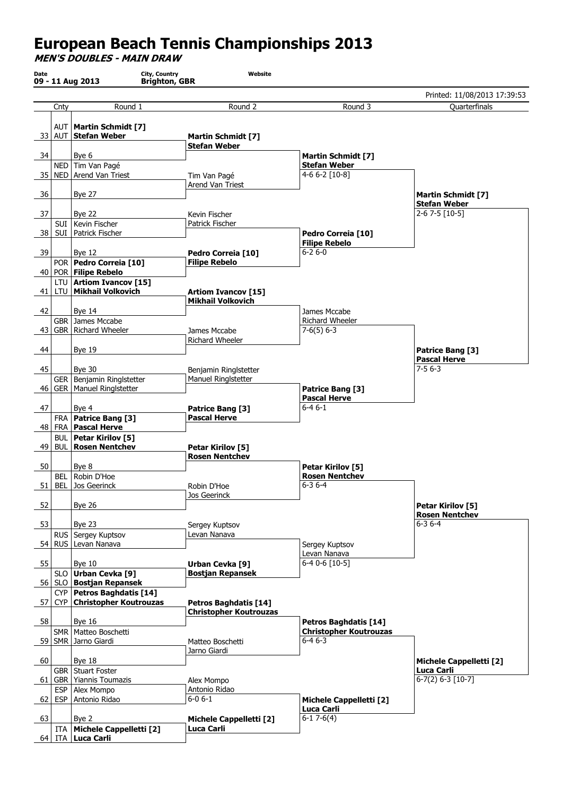## European Beach Tennis Championships 2013

MEN'S DOUBLES - MAIN DRAW

|      |                                       |                                            |                                 | Printed: 11/08/2013 17:39:53          |
|------|---------------------------------------|--------------------------------------------|---------------------------------|---------------------------------------|
| Cnty | Round 1                               | Round 2                                    | Round 3                         | Quarterfinals                         |
|      | AUT   Martin Schmidt [7]              |                                            |                                 |                                       |
|      | 33 AUT Stefan Weber                   | <b>Martin Schmidt [7]</b>                  |                                 |                                       |
|      |                                       | <b>Stefan Weber</b>                        |                                 |                                       |
| 34   | Bye 6                                 |                                            | <b>Martin Schmidt [7]</b>       |                                       |
|      | NED   Tim Van Pagé                    |                                            | <b>Stefan Weber</b>             |                                       |
| 35 l | NED   Arend Van Triest                | Tim Van Pagé                               | $4-66-2$ [10-8]                 |                                       |
|      |                                       | Arend Van Triest                           |                                 |                                       |
| - 36 | <b>Bye 27</b>                         |                                            |                                 | <b>Martin Schmidt [7]</b>             |
|      |                                       |                                            |                                 | <b>Stefan Weber</b><br>2-6 7-5 [10-5] |
| 37   | <b>Bye 22</b><br>SUI Kevin Fischer    | Kevin Fischer<br>Patrick Fischer           |                                 |                                       |
| 38 I | SUI   Patrick Fischer                 |                                            | Pedro Correia [10]              |                                       |
|      |                                       |                                            | <b>Filipe Rebelo</b>            |                                       |
| 39   | <b>Bye 12</b>                         | Pedro Correia [10]                         | $6 - 26 - 0$                    |                                       |
|      | POR   Pedro Correia [10]              | <b>Filipe Rebelo</b>                       |                                 |                                       |
|      | 40   POR   Filipe Rebelo              |                                            |                                 |                                       |
|      | LTU   Artiom Ivancov [15]             |                                            |                                 |                                       |
| 41   | LTU Mikhail Volkovich                 | <b>Artiom Ivancov [15]</b>                 |                                 |                                       |
|      |                                       | <b>Mikhail Volkovich</b>                   |                                 |                                       |
| 42   | <b>Bye 14</b>                         |                                            | James Mccabe                    |                                       |
|      | GBR   James Mccabe                    |                                            | Richard Wheeler                 |                                       |
| 43   | <b>GBR   Richard Wheeler</b>          | James Mccabe<br>Richard Wheeler            | $7-6(5)$ 6-3                    |                                       |
| 44   | <b>Bye 19</b>                         |                                            |                                 | Patrice Bang [3]                      |
|      |                                       |                                            |                                 | <b>Pascal Herve</b>                   |
| 45   | <b>Bye 30</b>                         | Benjamin Ringlstetter                      |                                 | $7 - 56 - 3$                          |
|      | GER   Benjamin Ringlstetter           | Manuel Ringlstetter                        |                                 |                                       |
|      | 46   GER   Manuel Ringlstetter        |                                            | Patrice Bang [3]                |                                       |
|      |                                       |                                            | <b>Pascal Herve</b>             |                                       |
| 47   | Bye 4                                 | Patrice Bang [3]                           | $6 - 46 - 1$                    |                                       |
|      | FRA   Patrice Bang [3]                | <b>Pascal Herve</b>                        |                                 |                                       |
| 48   | FRA   Pascal Herve                    |                                            |                                 |                                       |
|      | <b>BUL   Petar Kirilov [5]</b>        |                                            |                                 |                                       |
| 49   | <b>BUL   Rosen Nentchev</b>           | Petar Kirilov [5]<br><b>Rosen Nentchev</b> |                                 |                                       |
| 50   | Bye 8                                 |                                            | Petar Kirilov [5]               |                                       |
| BEL. | Robin D'Hoe                           |                                            | <b>Rosen Nentchev</b>           |                                       |
| 51   | BEL Jos Geerinck                      | Robin D'Hoe                                | $6 - 36 - 4$                    |                                       |
|      |                                       | Jos Geerinck                               |                                 |                                       |
| 52   | <b>Bye 26</b>                         |                                            |                                 | Petar Kirilov [5]                     |
|      |                                       |                                            |                                 | <b>Rosen Nentchev</b>                 |
| 53   | Bye 23                                | Sergey Kuptsov                             |                                 | $6 - 36 - 4$                          |
|      | RUS Sergey Kuptsov                    | Levan Nanava                               |                                 |                                       |
|      | 54   RUS   Levan Nanava               |                                            | Sergey Kuptsov                  |                                       |
|      |                                       |                                            | Levan Nanava<br>$6-40-6$ [10-5] |                                       |
| 55   | Bye $10$<br>SLO   Urban Cevka [9]     | Urban Cevka [9]<br><b>Bostjan Repansek</b> |                                 |                                       |
|      | 56   SLO   Bostjan Repansek           |                                            |                                 |                                       |
|      | CYP   Petros Baghdatis [14]           |                                            |                                 |                                       |
| 57   | CYP   Christopher Koutrouzas          | Petros Baghdatis [14]                      |                                 |                                       |
|      |                                       | <b>Christopher Koutrouzas</b>              |                                 |                                       |
| 58   | <b>Bye 16</b>                         |                                            | <b>Petros Baghdatis [14]</b>    |                                       |
|      | SMR   Matteo Boschetti                |                                            | <b>Christopher Koutrouzas</b>   |                                       |
|      | 59   SMR   Jarno Giardi               | Matteo Boschetti                           | $6 - 46 - 3$                    |                                       |
|      |                                       | Jarno Giardi                               |                                 |                                       |
| 60   | <b>Bye 18</b>                         |                                            |                                 | <b>Michele Cappelletti [2]</b>        |
|      | GBR   Stuart Foster                   |                                            |                                 | Luca Carli<br>$6-7(2) 6-3 [10-7]$     |
| 61 I | GBR   Yiannis Toumazis                | Alex Mompo                                 |                                 |                                       |
| 62   | ESP   Alex Mompo<br>ESP Antonio Ridao | Antonio Ridao<br>$6 - 0 6 - 1$             | <b>Michele Cappelletti [2]</b>  |                                       |
|      |                                       |                                            | Luca Carli                      |                                       |
| 63   | Bye 2                                 | <b>Michele Cappelletti [2]</b>             | $6-17-6(4)$                     |                                       |
|      | <b>ITA</b> Michele Cappelletti [2]    | Luca Carli                                 |                                 |                                       |
| 64   | ITA Luca Carli                        |                                            |                                 |                                       |